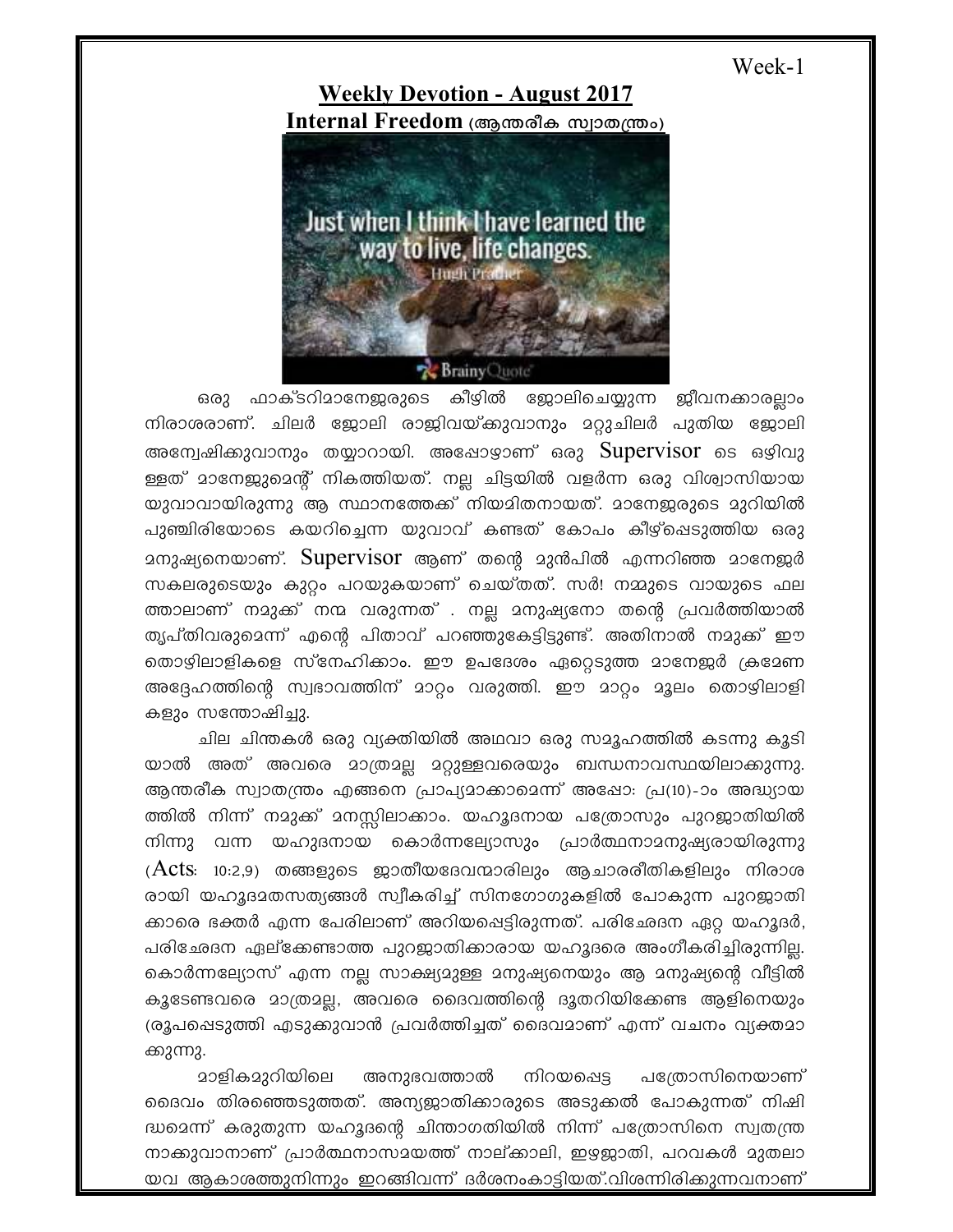Week-1

**Weekly Devotion - August 2017 Internal Freedom** (ആന്തരീക സ്വാതന്ത്രം)



ഒരു ഫാക്ടറിമാനേജരുടെ കീഴിൽ ജോലിചെയ്യുന്ന ജീവനക്കാരല്ലാം നിരാശരാണ്. ചിലർ ജോലി രാജിവയ്കുവാനും മറ്റുചിലർ പുതിയ ജോലി അന്വേഷിക്കുവാനും തയ്യാറായി. അഷോഴാണ് ഒരു  $\operatorname{Supervisor}$  ടെ ഒഴിവു ള്ളത് മാനേജുമെന്റ് നികത്തിയത്. നല്ല ചിട്ടയിൽ വളർന്ന ഒരു വിശ്വാസിയായ യുവാവായിരുന്നു ആ സ്ഥാനത്തേക്ക് നിയമിതനായത്. മാനേജരുടെ മുറിയിൽ പുഞ്ചിരിയോടെ കയറിച്ചെന്ന യുവാവ് കണ്ടത് കോപം കീഴ്പ്പെടുത്തിയ ഒരു  $\alpha$ മനുഷ്യനെയാണ്. Supervisor ആണ് തന്റെ മുൻപിൽ എന്നറിഞ്ഞ മാനേജർ സകലരുടെയും കുറ്റം പറയുകയാണ് ചെയ്തത്. സർ! നമ്മുടെ വായുടെ ഫല ത്താലാണ് നമുക്ക് നന്മ വരുന്നത് . നല്ല മനുഷ്യനോ തന്റെ പ്രവർത്തിയാൽ തൃപ്തിവരുമെന്ന് എന്റെ പിതാവ് പറഞ്ഞുകേട്ടിട്ടുണ്ട്. അതിനാൽ നമുക്ക് ഈ തൊഴിലാളികളെ സ്നേഹിക്കാം. ഈ ഉപദേശം ഏറ്റെടുത്ത മാനേജർ ക്രമേണ അദ്ദേഹത്തിന്റെ സ്വഭാവത്തിന് മാറ്റം വരുത്തി. ഈ മാറ്റം മൂലം തൊഴിലാളി കളും സന്തോഷിച്ചു.

ചില ചിന്തകൾ ഒരു വ്യക്തിയിൽ അഥവാ ഒരു സമൂഹത്തിൽ കടന്നു കൂടി യാൽ അത് അവരെ മാത്രമല്ല മറ്റുള്ളവരെയും ബന്ധനാവസ്ഥയിലാക്കുന്നു. ആന്തരീക സ്വാതന്ത്രം എങ്ങനെ പ്രാപ്യമാക്കാമെന്ന് അഷോ: പ്ര(10)-ാം അദ്ധ്യായ ത്തിൽ നിന്ന് നമുക്ക് മനസ്സിലാക്കാം. യഹൂദനായ പത്രോസും പുറജാതിയിൽ  $\alpha$ ിന്നു വന്ന യഹുദനായ കൊർന്നല്യോസും പ്രാർത്ഥനാദനുഷ്യരായിരുന്നു  $(Acts: 10:2,9)$  തങ്ങളുടെ ജാതീയദേവന്മാരിലും ആചാരരീതികളിലും നിരാശ രായി യഹൂദാതസത്യങ്ങൾ സ്വീകരിച്ച് സിനഗോഗുകളിൽ പോകുന്ന പുറജാതി ക്കാരെ ഭക്തർ എന്ന പേരിലാണ് അറിയപ്പെട്ടിരുന്നത്. പരിഛേദന ഏറ്റ യഹൂദർ, പരിഛേദന ഏല്ക്കേണ്ടാത്ത പുറജാതിക്കാരായ യഹൂദരെ അംഗീകരിച്ചിരുന്നില്ല. കൊർന്നല്യോസ് എന്ന നല്ല സാക്ഷ്യമുള്ള മനുഷ്യനെയും ആ മനുഷ്യന്റെ വീട്ടിൽ കൂടേണ്ടവരെ മാത്രമല്ല, അവരെ ദൈവത്തിന്റെ ദൂതറിയിക്കേണ്ട ആളിനെയും (രൂപപ്പെടുത്തി എടുക്കുവാൻ പ്രവർത്തിച്ചത് ദൈവമാണ് എന്ന് വചനം വ്യക്തമാ ക്കുന്നു.

<u>മാളികമുറിയിലെ അനുഭവത്താൽ നിറയപ്പെട്ട പത്രോസിനെയാണ്</u> ഒദെവം തിരഞ്ഞെടുത്തത്. അന്യജാതിക്കാരുടെ അടുക്കൽ പോകുന്നത് നിഷി ദ്ധമെന്ന് കരുതുന്ന യഹൂദന്റെ ചിന്താഗതിയിൽ നിന്ന് പത്രോസിനെ സ്വതന്ത്ര നാക്കുവാനാണ് പ്രാർത്ഥനാസമയത്ത് നാല്ക്കാലി, ഇഴയ്ക്കാതി, പറവകൾ മുതലാ യവ ആകാശത്തുനിന്നും ഇറങ്ങിവന്ന് ദർശനംകാട്ടിയത്.വിശന്നിരിക്കുന്നവനാണ്